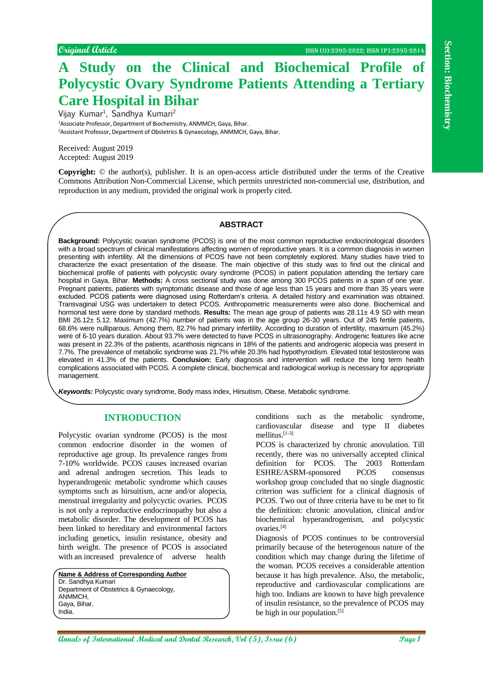# **A Study on the Clinical and Biochemical Profile of Polycystic Ovary Syndrome Patients Attending a Tertiary Care Hospital in Bihar**

Vijay Kumar<sup>1</sup>, Sandhya Kumari<sup>2</sup> <sup>1</sup>Associate Professor, Department of Biochemistry, ANMMCH, Gaya, Bihar. <sup>2</sup>Assistant Professor, Department of Obstetrics & Gynaecology, ANMMCH, Gaya, Bihar.

Received: August 2019 Accepted: August 2019

**Copyright:** © the author(s), publisher. It is an open-access article distributed under the terms of the Creative Commons Attribution Non-Commercial License, which permits unrestricted non-commercial use, distribution, and reproduction in any medium, provided the original work is properly cited.

## **ABSTRACT**

Counted Cutate **Counterional Ann and Cutate Constrained Constrained Constrained Constrained Constrained Constrained Constrained Constrained Constrained Constrained Constrained Constrained Constrained Constrained Constrain Background:** Polycystic ovarian syndrome (PCOS) is one of the most common reproductive endocrinological disorders with a broad spectrum of clinical manifestations affecting women of reproductive years. It is a common diagnosis in women presenting with infertility. All the dimensions of PCOS have not been completely explored. Many studies have tried to characterize the exact presentation of the disease. The main objective of this study was to find out the clinical and biochemical profile of patients with polycystic ovary syndrome (PCOS) in patient population attending the tertiary care hospital in Gaya, Bihar. **Methods:** A cross sectional study was done among 300 PCOS patients in a span of one year. Pregnant patients, patients with symptomatic disease and those of age less than 15 years and more than 35 years were excluded. PCOS patients were diagnosed using Rotterdam's criteria. A detailed history and examination was obtained. Transvaginal USG was undertaken to detect PCOS. Anthropometric measurements were also done. Biochemical and hormonal test were done by standard methods. **Results:** The mean age group of patients was 28.11± 4.9 SD with mean BMI 26.12± 5.12. Maximum (42.7%) number of patients was in the age group 26-30 years. Out of 245 fertile patients, 68.6% were nulliparous. Among them, 82.7% had primary infertility. According to duration of infertility, maximum (45.2%) were of 6-10 years duration. About 93.7% were detected to have PCOS in ultrasonography. Androgenic features like acne was present in 22.3% of the patients, acanthosis nigricans in 18% of the patients and androgenic alopecia was present in 7.7%. The prevalence of metabolic syndrome was 21.7% while 20.3% had hypothyroidism. Elevated total testosterone was elevated in 41.3% of the patients. **Conclusion:** Early diagnosis and intervention will reduce the long term health complications associated with PCOS. A complete clinical, biochemical and radiological workup is necessary for appropriate management.

*Keywords:* Polycystic ovary syndrome, Body mass index, Hirsutism, Obese, Metabolic syndrome.

### **INTRODUCTION**

Polycystic ovarian syndrome (PCOS) is the most common endocrine disorder in the women of reproductive age group. Its prevalence ranges from 7-10% worldwide. PCOS causes increased ovarian and adrenal androgen secretion. This leads to hyperandrogenic metabolic syndrome which causes symptoms such as hirsuitism, acne and/or alopecia, menstrual irregularity and polycyctic ovaries. PCOS is not only a reproductive endocrinopathy but also a metabolic disorder. The development of PCOS has been linked to hereditary and environmental factors including genetics, insulin resistance, obesity and birth weight. The presence of PCOS is associated with an increased prevalence of adverse health

**Name & Address of Corresponding Author**

Dr. Sandhya Kumari Department of Obstetrics & Gynaecology, ANMMCH, Gaya, Bihar, India.

conditions such as the metabolic syndrome, cardiovascular disease and type II diabetes mellitus.[1-3]

PCOS is characterized by chronic anovulation. Till recently, there was no universally accepted clinical definition for PCOS. The 2003 Rotterdam ESHRE/ASRM-sponsored PCOS consensus workshop group concluded that no single diagnostic criterion was sufficient for a clinical diagnosis of PCOS. Two out of three criteria have to be met to fit the definition: chronic anovulation, clinical and/or biochemical hyperandrogenism, and polycystic ovaries.[4]

Diagnosis of PCOS continues to be controversial primarily because of the heterogenous nature of the condition which may change during the lifetime of the woman. PCOS receives a considerable attention because it has high prevalence. Also, the metabolic, reproductive and cardiovascular complications are high too. Indians are known to have high prevalence of insulin resistance, so the prevalence of PCOS may be high in our population.[5]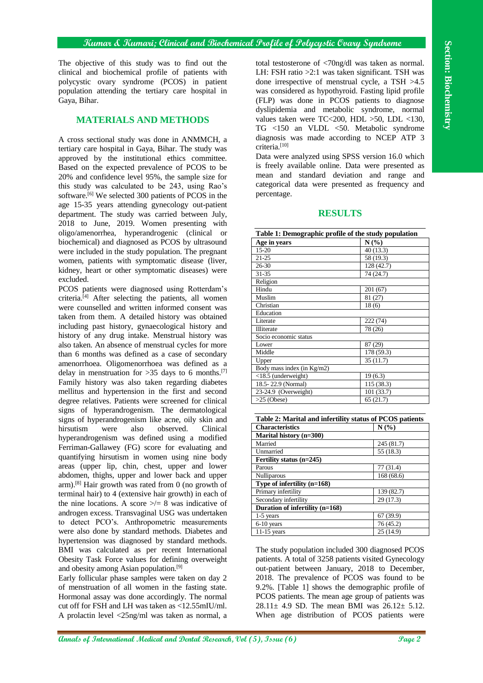#### **Kumar & Kumari; Clinical and Biochemical Profile of Polycystic Ovary Syndrome**

The objective of this study was to find out the clinical and biochemical profile of patients with polycystic ovary syndrome (PCOS) in patient population attending the tertiary care hospital in Gaya, Bihar.

# **MATERIALS AND METHODS**

A cross sectional study was done in ANMMCH, a tertiary care hospital in Gaya, Bihar. The study was approved by the institutional ethics committee. Based on the expected prevalence of PCOS to be 20% and confidence level 95%, the sample size for this study was calculated to be 243, using Rao's software.<sup>[6]</sup> We selected 300 patients of PCOS in the age 15-35 years attending gynecology out-patient department. The study was carried between July, 2018 to June, 2019. Women presenting with oligo/amenorrhea, hyperandrogenic (clinical or biochemical) and diagnosed as PCOS by ultrasound were included in the study population. The pregnant women, patients with symptomatic disease (liver, kidney, heart or other symptomatic diseases) were excluded.

**Annual methods of International Medical and Dental Research, O. The Barrison Control international methods in the Control international methods of International Medical Annual methods in the Control international methods** PCOS patients were diagnosed using Rotterdam's criteria. $[4]$  After selecting the patients, all women were counselled and written informed consent was taken from them. A detailed history was obtained including past history, gynaecological history and history of any drug intake. Menstrual history was also taken. An absence of menstrual cycles for more than 6 months was defined as a case of secondary amenorrhoea. Oligomenorrhoea was defined as a delay in menstruation for  $>35$  days to 6 months.<sup>[7]</sup> Family history was also taken regarding diabetes mellitus and hypertension in the first and second degree relatives. Patients were screened for clinical signs of hyperandrogenism. The dermatological signs of hyperandrogenism like acne, oily skin and hirsutism were also observed. Clinical hyperandrogenism was defined using a modified Ferriman-Gallawey (FG) score for evaluating and quantifying hirsutism in women using nine body areas (upper lip, chin, chest, upper and lower abdomen, thighs, upper and lower back and upper arm).[8] Hair growth was rated from 0 (no growth of terminal hair) to 4 (extensive hair growth) in each of the nine locations. A score  $\geq 8$  was indicative of androgen excess. Transvaginal USG was undertaken to detect PCO's. Anthropometric measurements were also done by standard methods. Diabetes and hypertension was diagnosed by standard methods. BMI was calculated as per recent International Obesity Task Force values for defining overweight and obesity among Asian population.[9]

Early follicular phase samples were taken on day 2 of menstruation of all women in the fasting state. Hormonal assay was done accordingly. The normal cut off for FSH and LH was taken as <12.55mIU/ml. A prolactin level <25ng/ml was taken as normal, a total testosterone of <70ng/dl was taken as normal. LH: FSH ratio >2:1 was taken significant. TSH was done irrespective of menstrual cycle, a TSH >4.5 was considered as hypothyroid. Fasting lipid profile (FLP) was done in PCOS patients to diagnose dyslipidemia and metabolic syndrome, normal values taken were TC<200, HDL >50, LDL <130, TG <150 an VLDL <50. Metabolic syndrome diagnosis was made according to NCEP ATP 3 criteria.<sup>[10]</sup>

Data were analyzed using SPSS version 16.0 which is freely available online. Data were presented as mean and standard deviation and range and categorical data were presented as frequency and percentage.

### **RESULTS**

| Table 1: Demographic profile of the study population |            |  |  |  |
|------------------------------------------------------|------------|--|--|--|
| Age in years                                         | $N(\%)$    |  |  |  |
| 15-20                                                | 40 (13.3)  |  |  |  |
| $21 - 25$                                            | 58 (19.3)  |  |  |  |
| 26-30                                                | 128 (42.7) |  |  |  |
| 31-35                                                | 74 (24.7)  |  |  |  |
| Religion                                             |            |  |  |  |
| Hindu                                                | 201(67)    |  |  |  |
| Muslim                                               | 81 (27)    |  |  |  |
| Christian                                            | 18(6)      |  |  |  |
| Education                                            |            |  |  |  |
| Literate                                             | 222(74)    |  |  |  |
| Illiterate                                           | 78 (26)    |  |  |  |
| Socio economic status                                |            |  |  |  |
| Lower                                                | 87 (29)    |  |  |  |
| Middle                                               | 178 (59.3) |  |  |  |
| Upper                                                | 35(11.7)   |  |  |  |
| Body mass index (in Kg/m2)                           |            |  |  |  |
| $<$ 18.5 (underweight)                               | 19(6.3)    |  |  |  |
| 18.5-22.9 (Normal)                                   | 115 (38.3) |  |  |  |
| 23-24.9 (Overweight)                                 | 101 (33.7) |  |  |  |
| $>25$ (Obese)                                        | 65(21.7)   |  |  |  |

| Table 2: Marital and infertility status of PCOS patients |            |  |  |  |
|----------------------------------------------------------|------------|--|--|--|
| <b>Characteristics</b>                                   | N(%)       |  |  |  |
| Marital history (n=300)                                  |            |  |  |  |
| Married                                                  | 245 (81.7) |  |  |  |
| Unmarried                                                | 55 (18.3)  |  |  |  |
| Fertility status (n=245)                                 |            |  |  |  |
| Parous                                                   | 77(31.4)   |  |  |  |
| Nulliparous                                              | 168(68.6)  |  |  |  |
| Type of infertility $(n=168)$                            |            |  |  |  |
| Primary infertility                                      | 139 (82.7) |  |  |  |
| Secondary infertility                                    | 29 (17.3)  |  |  |  |
| Duration of infertility (n=168)                          |            |  |  |  |
| $1-5$ years                                              | 67(39.9)   |  |  |  |
| 6-10 years                                               | 76(45.2)   |  |  |  |
| $11-15$ years                                            | 25(14.9)   |  |  |  |

The study population included 300 diagnosed PCOS patients. A total of 3258 patients visited Gynecology out-patient between January, 2018 to December, 2018. The prevalence of PCOS was found to be 9.2%. [Table 1] shows the demographic profile of PCOS patients. The mean age group of patients was  $28.11 \pm 4.9$  SD. The mean BMI was  $26.12 \pm 5.12$ . When age distribution of PCOS patients were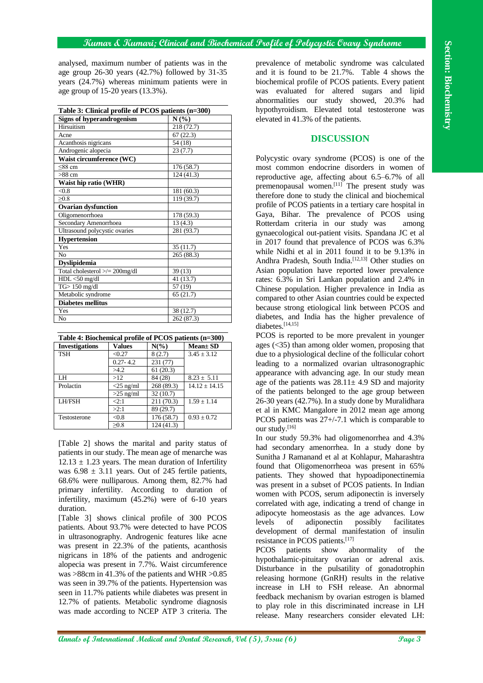|                                                                                                     |                    |                       |                                                          | 'Kumar & 'Kumarı; Clinical and 'Biochemical Trofile of Tolycystic Ovary Syndrome         |
|-----------------------------------------------------------------------------------------------------|--------------------|-----------------------|----------------------------------------------------------|------------------------------------------------------------------------------------------|
| analysed, maximum number of patients was in the                                                     |                    |                       |                                                          | prevalence of metabolic syndrome was calculated                                          |
| age group $26-30$ years $(42.7%)$ followed by $31-35$                                               |                    |                       |                                                          | and it is found to be 21.7%. Table 4 shows the                                           |
|                                                                                                     |                    |                       | years (24.7%) whereas minimum patients were in           | biochemical profile of PCOS patients. Every patient                                      |
| age group of 15-20 years (13.3%).                                                                   |                    |                       |                                                          | evaluated for altered sugars and lipid<br>was                                            |
|                                                                                                     |                    |                       |                                                          | abnormalities our study showed, 20.3%<br>had                                             |
|                                                                                                     |                    |                       |                                                          | hypothyroidism. Elevated total testosterone was                                          |
| Table 3: Clinical profile of PCOS patients (n=300)                                                  |                    |                       |                                                          |                                                                                          |
| Signs of hyperandrogenism                                                                           |                    |                       | N(%)                                                     | elevated in 41.3% of the patients.                                                       |
| Hirsuitism<br>218(72.7)                                                                             |                    |                       |                                                          |                                                                                          |
| 67(22.3)<br>Acne<br>54(18)<br>Acanthosis nigricans                                                  |                    |                       | <b>DISCUSSION</b>                                        |                                                                                          |
| Androgenic alopecia                                                                                 | 23(7.7)            |                       |                                                          |                                                                                          |
| Waist circumference (WC)                                                                            |                    |                       |                                                          | Polycystic ovary syndrome (PCOS) is one of the                                           |
| 176(58.7)<br>$\leq$ 88 cm                                                                           |                    |                       | most common endocrine disorders in women of              |                                                                                          |
| $>88$ cm                                                                                            |                    |                       | 124(41.3)                                                | reproductive age, affecting about 6.5-6.7% of all                                        |
| Waist hip ratio (WHR)                                                                               |                    |                       |                                                          | premenopausal women. <sup>[11]</sup> The present study was                               |
| < 0.8                                                                                               |                    |                       | 181(60.3)                                                | therefore done to study the clinical and biochemical                                     |
| $\geq 0.8$                                                                                          |                    |                       | 119 (39.7)                                               | profile of PCOS patients in a tertiary care hospital in                                  |
| <b>Ovarian dysfunction</b><br>Oligomenorrhoea                                                       |                    |                       | 178(59.3)                                                | Gaya, Bihar. The prevalence of PCOS using                                                |
| Secondary Amenorrhoea                                                                               |                    |                       | 13(4.3)                                                  | Rotterdam criteria in our study was<br>among                                             |
| Ultrasound polycystic ovaries                                                                       |                    |                       | 281 (93.7)                                               | gynaecological out-patient visits. Spandana JC et al                                     |
| Hypertension                                                                                        |                    |                       |                                                          |                                                                                          |
| Yes                                                                                                 |                    |                       | 35(11.7)                                                 | in 2017 found that prevalence of PCOS was 6.3%                                           |
| No                                                                                                  |                    |                       | 265(88.3)                                                | while Nidhi et al in 2011 found it to be 9.13% in                                        |
| <b>Dyslipidemia</b>                                                                                 |                    |                       |                                                          | Andhra Pradesh, South India. <sup>[12,13]</sup> Other studies on                         |
| Total cholesterol $\ge$ /= 200mg/dl                                                                 |                    |                       | 39(13)                                                   | Asian population have reported lower prevalence                                          |
| $HDL < 50$ mg/dl                                                                                    |                    |                       | 41(13.7)                                                 | rates: 6.3% in Sri Lankan population and 2.4% in                                         |
| $TG$ 150 mg/dl                                                                                      |                    |                       | 57 (19)                                                  | Chinese population. Higher prevalence in India as                                        |
| Metabolic syndrome<br><b>Diabetes mellitus</b>                                                      |                    |                       | 65(21.7)                                                 | compared to other Asian countries could be expected                                      |
| Yes                                                                                                 |                    |                       | 38(12.7)                                                 | because strong etiological link between PCOS and                                         |
| No                                                                                                  |                    |                       | 262 (87.3)                                               | diabetes, and India has the higher prevalence of                                         |
|                                                                                                     |                    |                       |                                                          | diabetes.[14,15]                                                                         |
| Table 4: Biochemical profile of PCOS patients (n=300)                                               |                    |                       |                                                          | PCOS is reported to be more prevalent in younger                                         |
| <b>Investigations</b>                                                                               | <b>Values</b>      | $N(\%)$               | Mean± SD                                                 | ages $(<$ 35) than among older women, proposing that                                     |
| <b>TSH</b>                                                                                          | < 0.27             | 8(2.7)                | $3.45 \pm 3.12$                                          | due to a physiological decline of the follicular cohort                                  |
|                                                                                                     | $0.27 - 4.2$       | 231 (77)              |                                                          | leading to a normalized ovarian ultrasonographic                                         |
|                                                                                                     | >4.2               | 61(20.3)              |                                                          | appearance with advancing age. In our study mean                                         |
| LH                                                                                                  | $>12$              | 84(28)                | $8.23 \pm 5.11$                                          | age of the patients was $28.11 \pm 4.9$ SD and majority                                  |
| Prolactin                                                                                           | $<$ 25 ng/ml       | 268 (89.3)            | $14.12 \pm 14.15$                                        | of the patients belonged to the age group between                                        |
| LH/FSH                                                                                              | $>25$ ng/ml<br>2:1 | 32(10.7)<br>211(70.3) | $1.59 \pm 1.14$                                          | 26-30 years (42.7%). In a study done by Muralidhara                                      |
|                                                                                                     | >2:1               | 89(29.7)              |                                                          |                                                                                          |
| Testosterone                                                                                        | < 0.8              | 176 (58.7)            | $0.93 \pm 0.72$                                          | et al in KMC Mangalore in 2012 mean age among                                            |
|                                                                                                     | $\geq 0.8$         | 124(41.3)             |                                                          | PCOS patients was $27+/7.1$ which is comparable to                                       |
|                                                                                                     |                    |                       |                                                          | our study. <sup>[16]</sup>                                                               |
|                                                                                                     |                    |                       | [Table 2] shows the marital and parity status of         | In our study 59.3% had oligomenorrhea and 4.3%                                           |
| patients in our study. The mean age of menarche was                                                 |                    |                       |                                                          | had secondary amenorrhea. In a study done by                                             |
|                                                                                                     |                    |                       | $12.13 \pm 1.23$ years. The mean duration of Infertility | Sunitha J Ramanand et al at Kohlapur, Maharashtra                                        |
| was $6.98 \pm 3.11$ years. Out of 245 fertile patients,                                             |                    |                       |                                                          | found that Oligomenorrheoa was present in 65%                                            |
|                                                                                                     |                    |                       |                                                          | patients. They showed that hypoadiponectinemia                                           |
|                                                                                                     |                    |                       | 68.6% were nulliparous. Among them, 82.7% had            | was present in a subset of PCOS patients. In Indian                                      |
|                                                                                                     |                    |                       | primary infertility. According to duration of            | women with PCOS, serum adiponectin is inversely                                          |
| infertility, maximum (45.2%) were of 6-10 years                                                     |                    |                       |                                                          | correlated with age, indicating a trend of change in                                     |
| duration.                                                                                           |                    |                       |                                                          | adipocyte homeostasis as the age advances. Low                                           |
| [Table 3] shows clinical profile of 300 PCOS                                                        |                    |                       |                                                          | of<br>levels<br>adiponectin<br>possibly<br>facilitates                                   |
| patients. About 93.7% were detected to have PCOS                                                    |                    |                       |                                                          | development of dermal manifestation of insulin                                           |
| in ultrasonography. Androgenic features like acne                                                   |                    |                       |                                                          | resistance in PCOS patients. <sup>[17]</sup>                                             |
|                                                                                                     |                    |                       |                                                          |                                                                                          |
| was present in 22.3% of the patients, acanthosis<br>nigricans in 18% of the patients and androgenic |                    |                       |                                                          | <b>PCOS</b><br>patients<br>show<br>abnormality<br>the<br>of                              |
| alopecia was present in 7.7%. Waist circumference                                                   |                    |                       |                                                          | hypothalamic-pituitary ovarian or adrenal axis.                                          |
| was >88cm in 41.3% of the patients and WHR >0.85                                                    |                    |                       |                                                          | Disturbance in the pulsatility of gonadotrophin                                          |
|                                                                                                     |                    |                       |                                                          | releasing hormone (GnRH) results in the relative                                         |
| was seen in 39.7% of the patients. Hypertension was                                                 |                    |                       |                                                          | increase in LH to FSH release. An abnormal                                               |
| seen in 11.7% patients while diabetes was present in                                                |                    |                       |                                                          | feedback mechanism by ovarian estrogen is blamed                                         |
| 12.7% of patients. Metabolic syndrome diagnosis<br>was made according to NCEP ATP 3 criteria. The   |                    |                       |                                                          | to play role in this discriminated increase in LH                                        |
|                                                                                                     |                    |                       |                                                          | release. Many researchers consider elevated LH:                                          |
|                                                                                                     |                    |                       |                                                          |                                                                                          |
|                                                                                                     |                    |                       |                                                          |                                                                                          |
|                                                                                                     |                    |                       |                                                          | <b>annals of International Medical and Dental Research, Vol (5), Issue (6)</b><br>Page 3 |

| Table 4: Biochemical profile of PCOS patients (n=300) |  |
|-------------------------------------------------------|--|
|                                                       |  |

| <b>Investigations</b> | <b>Values</b> | $N(\%)$    | $Mean \pm SD$   |
|-----------------------|---------------|------------|-----------------|
| <b>TSH</b>            | < 0.27        | 8(2.7)     | $3.45 \pm 3.12$ |
|                       | $0.27 - 4.2$  | 231(77)    |                 |
|                       | >4.2          | 61(20.3)   |                 |
| LH                    | >12           | 84 (28)    | $8.23 \pm 5.11$ |
| Prolactin             | $<$ 25 ng/ml  | 268 (89.3) | $14.12 + 14.15$ |
|                       | $>25$ ng/ml   | 32(10.7)   |                 |
| LH/FSH                | $\leq 2:1$    | 211(70.3)  | $1.59 + 1.14$   |
|                       | >2:1          | 89 (29.7)  |                 |
| Testosterone          | < 0.8         | 176(58.7)  | $0.93 \pm 0.72$ |
|                       | $\geq 0.8$    | 124(41.3)  |                 |

# **DISCUSSION**